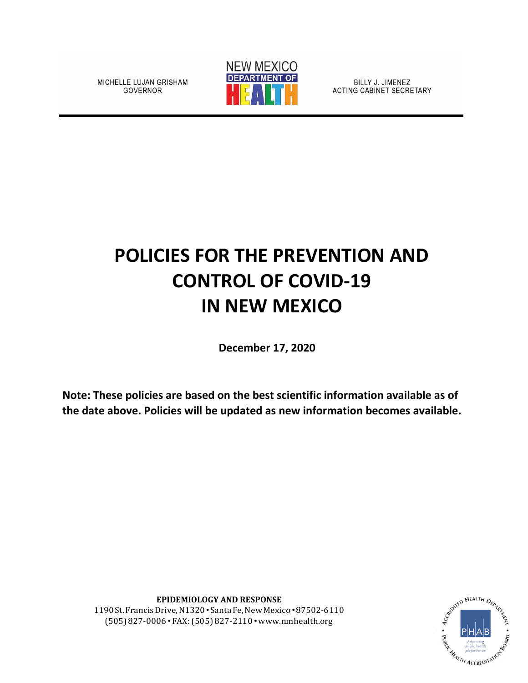

BILLY J. JIMENEZ **ACTING CABINET SECRETARY** 

MICHELLE LUJAN GRISHAM GOVERNOR

# **POLICIES FOR THE PREVENTION AND CONTROL OF COVID-19 IN NEW MEXICO**

**December 17, 2020**

**Note: These policies are based on the best scientific information available as of the date above. Policies will be updated as new information becomes available.**



**EPIDEMIOLOGY AND RESPONSE** 1190St.FrancisDrive,N1320• SantaFe,NewMexico•87502-6110 (505) 827-0006 • FAX:(505) 827-2110 •[www.nmhealth.org](http://www.nmhealth.org/)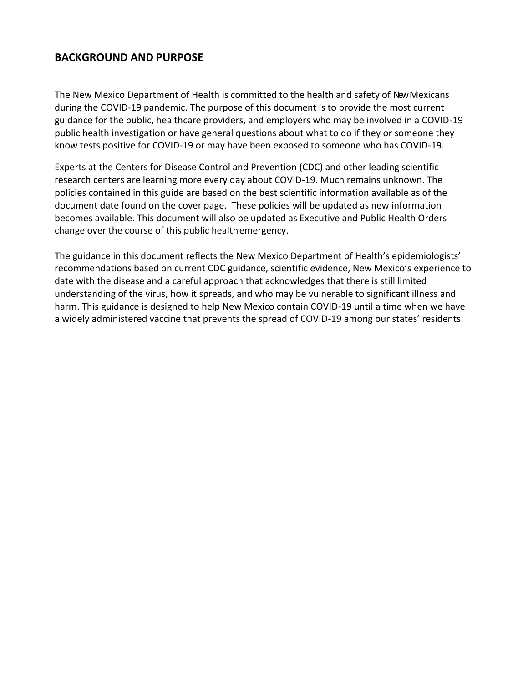### **BACKGROUND AND PURPOSE**

The New Mexico Department of Health is committed to the health and safety of NewMexicans during the COVID-19 pandemic. The purpose of this document is to provide the most current guidance for the public, healthcare providers, and employers who may be involved in a COVID-19 public health investigation or have general questions about what to do if they or someone they know tests positive for COVID-19 or may have been exposed to someone who has COVID-19.

Experts at the Centers for Disease Control and Prevention (CDC) and other leading scientific research centers are learning more every day about COVID-19. Much remains unknown. The policies contained in this guide are based on the best scientific information available as of the document date found on the cover page. These policies will be updated as new information becomes available. This document will also be updated as Executive and Public Health Orders change over the course of this public healthemergency.

The guidance in this document reflects the New Mexico Department of Health's epidemiologists' recommendations based on current CDC guidance, scientific evidence, New Mexico's experience to date with the disease and a careful approach that acknowledges that there is still limited understanding of the virus, how it spreads, and who may be vulnerable to significant illness and harm. This guidance is designed to help New Mexico contain COVID-19 until a time when we have a widely administered vaccine that prevents the spread of COVID-19 among our states' residents.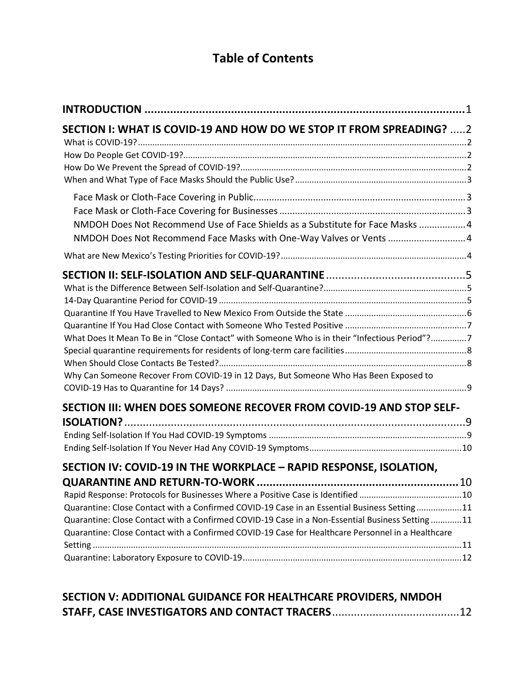# **Table of Contents**

| SECTION I: WHAT IS COVID-19 AND HOW DO WE STOP IT FROM SPREADING? 2                                                                                                                                                                                                                                |  |
|----------------------------------------------------------------------------------------------------------------------------------------------------------------------------------------------------------------------------------------------------------------------------------------------------|--|
|                                                                                                                                                                                                                                                                                                    |  |
|                                                                                                                                                                                                                                                                                                    |  |
|                                                                                                                                                                                                                                                                                                    |  |
| NMDOH Does Not Recommend Use of Face Shields as a Substitute for Face Masks  4<br>NMDOH Does Not Recommend Face Masks with One-Way Valves or Vents  4                                                                                                                                              |  |
|                                                                                                                                                                                                                                                                                                    |  |
|                                                                                                                                                                                                                                                                                                    |  |
|                                                                                                                                                                                                                                                                                                    |  |
| What Does It Mean To Be in "Close Contact" with Someone Who is in their "Infectious Period"?7                                                                                                                                                                                                      |  |
|                                                                                                                                                                                                                                                                                                    |  |
|                                                                                                                                                                                                                                                                                                    |  |
| Why Can Someone Recover From COVID-19 in 12 Days, But Someone Who Has Been Exposed to                                                                                                                                                                                                              |  |
| SECTION III: WHEN DOES SOMEONE RECOVER FROM COVID-19 AND STOP SELF-                                                                                                                                                                                                                                |  |
|                                                                                                                                                                                                                                                                                                    |  |
|                                                                                                                                                                                                                                                                                                    |  |
|                                                                                                                                                                                                                                                                                                    |  |
| SECTION IV: COVID-19 IN THE WORKPLACE - RAPID RESPONSE, ISOLATION,                                                                                                                                                                                                                                 |  |
|                                                                                                                                                                                                                                                                                                    |  |
|                                                                                                                                                                                                                                                                                                    |  |
| Quarantine: Close Contact with a Confirmed COVID-19 Case in an Essential Business Setting11<br>Quarantine: Close Contact with a Confirmed COVID-19 Case in a Non-Essential Business Setting11<br>Quarantine: Close Contact with a Confirmed COVID-19 Case for Healthcare Personnel in a Healthcare |  |
|                                                                                                                                                                                                                                                                                                    |  |
|                                                                                                                                                                                                                                                                                                    |  |

| SECTION V: ADDITIONAL GUIDANCE FOR HEALTHCARE PROVIDERS, NMDOH |  |
|----------------------------------------------------------------|--|
|                                                                |  |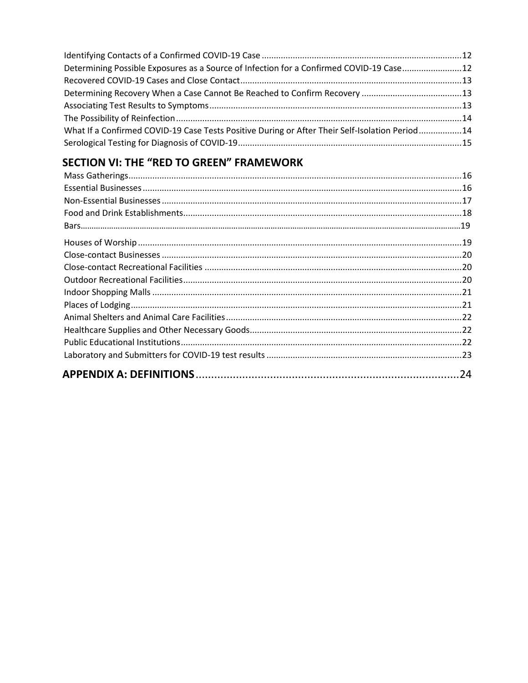| Determining Possible Exposures as a Source of Infection for a Confirmed COVID-19 Case12        |  |
|------------------------------------------------------------------------------------------------|--|
|                                                                                                |  |
|                                                                                                |  |
|                                                                                                |  |
|                                                                                                |  |
| What If a Confirmed COVID-19 Case Tests Positive During or After Their Self-Isolation Period14 |  |
|                                                                                                |  |

# **SECTION VI: THE "RED TO GREEN" FRAMEWORK**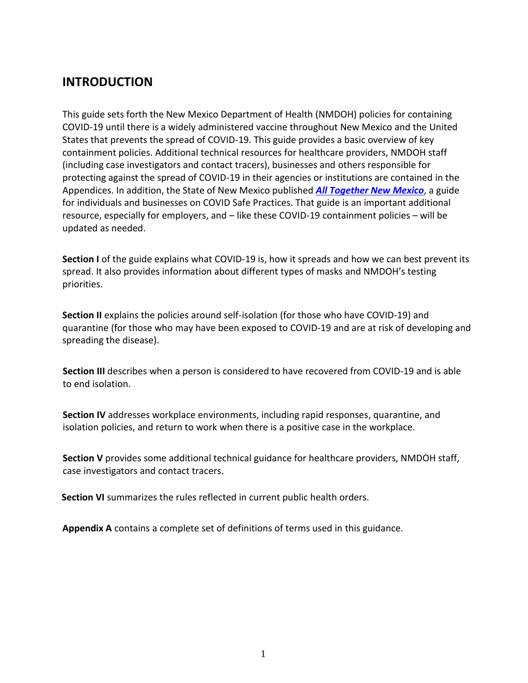# **INTRODUCTION**

This guide sets forth the New Mexico Department of Health (NMDOH) policies for containing COVID-19 until there is a widely administered vaccine throughout New Mexico and the United States that prevents the spread of COVID-19. This guide provides a basic overview of key containment policies. Additional technical resources for healthcare providers, NMDOH staff (including case investigators and contact tracers), businesses and others responsible for protecting against the spread of COVID-19 in their agencies or institutions are contained in the Appendices. In addition, the State of New Mexico published *[All Together New Mexico](https://indd.adobe.com/view/3f732e94-0164-424d-9ac6-a0ace27e70c8)*, a guide for individuals and businesses on COVID Safe Practices. That guide is an important additional resource, especially for employers, and – like these COVID-19 containment policies – will be updated as needed.

**Section I** of the guide explains what COVID-19 is, how it spreads and how we can best prevent its spread. It also provides information about different types of masks and NMDOH's testing priorities.

**Section II** explains the policies around self-isolation (for those who have COVID-19) and quarantine (for those who may have been exposed to COVID-19 and are at risk of developing and spreading the disease).

**Section III** describes when a person is considered to have recovered from COVID-19 and is able to end isolation.

**Section IV** addresses workplace environments, including rapid responses, quarantine, and isolation policies, and return to work when there is a positive case in the workplace.

**Section V** provides some additional technical guidance for healthcare providers, NMDOH staff, case investigators and contact tracers.

**Section VI** summarizes the rules reflected in current public health orders.

**Appendix A** contains a complete set of definitions of terms used in this guidance.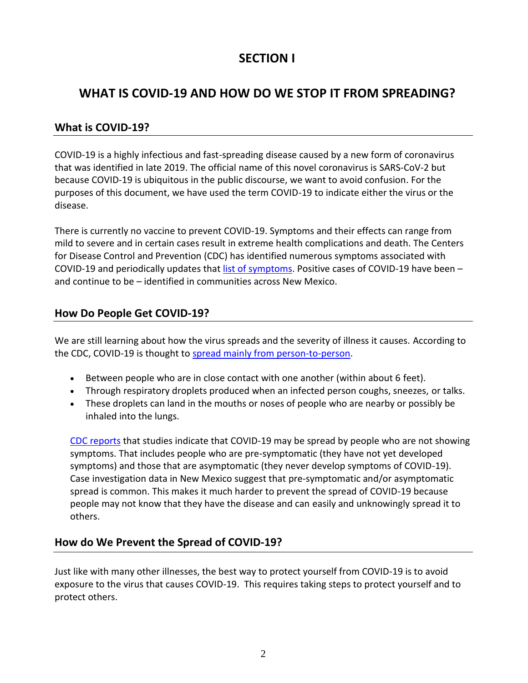# **SECTION I**

## **WHAT IS COVID-19 AND HOW DO WE STOP IT FROM SPREADING?**

### **What is COVID-19?**

COVID-19 is a highly infectious and fast-spreading disease caused by a new form of coronavirus that was identified in late 2019. The official name of this novel coronavirus is SARS-CoV-2 but because COVID-19 is ubiquitous in the public discourse, we want to avoid confusion. For the purposes of this document, we have used the term COVID-19 to indicate either the virus or the disease.

There is currently no vaccine to prevent COVID-19. Symptoms and their effects can range from mild to severe and in certain cases result in extreme health complications and death. The Centers for Disease Control and Prevention (CDC) has identified numerous symptoms associated with COVID-19 and periodically updates that [list of symptoms.](https://www.cdc.gov/coronavirus/2019-ncov/symptoms-testing/symptoms.html) Positive cases of COVID-19 have been – and continue to be – identified in communities across New Mexico.

### **How Do People Get COVID-19?**

We are still learning about how the virus spreads and the severity of illness it causes. According to the CDC, COVID-19 is thought to [spread mainly from person-to-person.](https://www.cdc.gov/coronavirus/2019-ncov/prevent-getting-sick/how-covid-spreads.html)

- Between people who are in close contact with one another (within about 6 feet).
- Through respiratory droplets produced when an infected person coughs, sneezes, or talks.
- These droplets can land in the mouths or noses of people who are nearby or possibly be inhaled into the lungs.

[CDC reports](https://www.cdc.gov/coronavirus/2019-ncov/hcp/clinical-guidance-management-patients.html) that studies indicate that COVID-19 may be spread by people who are not showing symptoms. That includes people who are pre-symptomatic (they have not yet developed symptoms) and those that are asymptomatic (they never develop symptoms of COVID-19). Case investigation data in New Mexico suggest that pre-symptomatic and/or asymptomatic spread is common. This makes it much harder to prevent the spread of COVID-19 because people may not know that they have the disease and can easily and unknowingly spread it to others.

### **How do We Prevent the Spread of COVID-19?**

Just like with many other illnesses, the best way to protect yourself from COVID-19 is to avoid exposure to the virus that causes COVID-19. This requires taking steps to protect yourself and to protect others.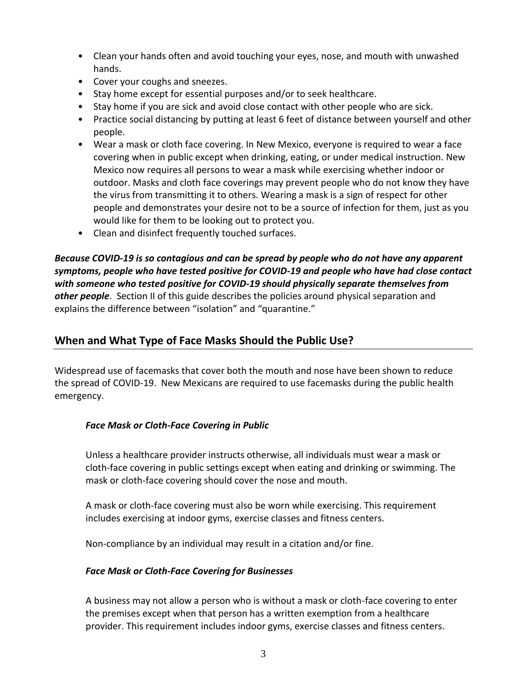- Clean your hands often and avoid touching your eyes, nose, and mouth with unwashed hands.
- Cover your coughs and sneezes.
- Stay home except for essential purposes and/or to seek healthcare.
- Stay home if you are sick and avoid close contact with other people who are sick.
- Practice social distancing by putting at least 6 feet of distance between yourself and other people.
- Wear a mask or cloth face covering. In New Mexico, everyone is required to wear a face covering when in public except when drinking, eating, or under medical instruction. New Mexico now requires all persons to wear a mask while exercising whether indoor or outdoor. Masks and cloth face coverings may prevent people who do not know they have the virus from transmitting it to others. Wearing a mask is a sign of respect for other people and demonstrates your desire not to be a source of infection for them, just as you would like for them to be looking out to protect you.
- Clean and disinfect frequently touched surfaces.

*Because COVID-19 is so contagious and can be spread by people who do not have any apparent symptoms, people who have tested positive for COVID-19 and people who have had close contact with someone who tested positive for COVID-19 should physically separate themselves from other people*. Section II of this guide describes the policies around physical separation and explains the difference between "isolation" and "quarantine."

### **When and What Type of Face Masks Should the Public Use?**

Widespread use of facemasks that cover both the mouth and nose have been shown to reduce the spread of COVID-19. New Mexicans are required to use facemasks during the public health emergency.

#### *Face Mask or Cloth-Face Covering in Public*

Unless a healthcare provider instructs otherwise, all individuals must wear a mask or cloth-face covering in public settings except when eating and drinking or swimming. The mask or cloth-face covering should cover the nose and mouth.

A mask or cloth-face covering must also be worn while exercising. This requirement includes exercising at indoor gyms, exercise classes and fitness centers.

Non-compliance by an individual may result in a citation and/or fine.

#### *Face Mask or Cloth-Face Covering for Businesses*

A business may not allow a person who is without a mask or cloth-face covering to enter the premises except when that person has a written exemption from a healthcare provider. This requirement includes indoor gyms, exercise classes and fitness centers.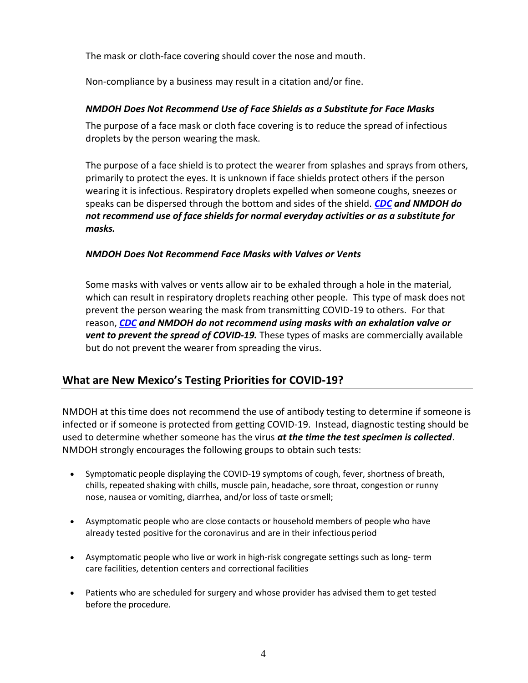The mask or cloth-face covering should cover the nose and mouth.

Non-compliance by a business may result in a citation and/or fine.

#### *NMDOH Does Not Recommend Use of Face Shields as a Substitute for Face Masks*

The purpose of a face mask or cloth face covering is to reduce the spread of infectious droplets by the person wearing the mask.

The purpose of a face shield is to protect the wearer from splashes and sprays from others, primarily to protect the eyes. It is unknown if face shields protect others if the person wearing it is infectious. Respiratory droplets expelled when someone coughs, sneezes or speaks can be dispersed through the bottom and sides of the shield. *[CDC](https://www.cdc.gov/coronavirus/2019-ncov/prevent-getting-sick/cloth-face-cover-guidance.html#recent-studies) and NMDOH do not recommend use of face shields for normal everyday activities or as a substitute for masks.*

#### *NMDOH Does Not Recommend Face Masks with Valves or Vents*

Some masks with valves or vents allow air to be exhaled through a hole in the material, which can result in respiratory droplets reaching other people. This type of mask does not prevent the person wearing the mask from transmitting COVID-19 to others. For that reason, *[CDC](https://www.cdc.gov/coronavirus/2019-ncov/prevent-getting-sick/cloth-face-cover-guidance.html#recent-studies) and NMDOH do not recommend using masks with an exhalation valve or vent to prevent the spread of COVID-19.* These types of masks are commercially available but do not prevent the wearer from spreading the virus.

### **What are New Mexico's Testing Priorities for COVID-19?**

NMDOH at this time does not recommend the use of antibody testing to determine if someone is infected or if someone is protected from getting COVID-19. Instead, diagnostic testing should be used to determine whether someone has the virus *at the time the test specimen is collected*. NMDOH strongly encourages the following groups to obtain such tests:

- Symptomatic people displaying the COVID-19 symptoms of cough, fever, shortness of breath, chills, repeated shaking with chills, muscle pain, headache, sore throat, congestion or runny nose, nausea or vomiting, diarrhea, and/or loss of taste orsmell;
- Asymptomatic people who are close contacts or household members of people who have already tested positive for the coronavirus and are in their infectious period
- Asymptomatic people who live or work in high-risk congregate settings such as long- term care facilities, detention centers and correctional facilities
- Patients who are scheduled for surgery and whose provider has advised them to get tested before the procedure.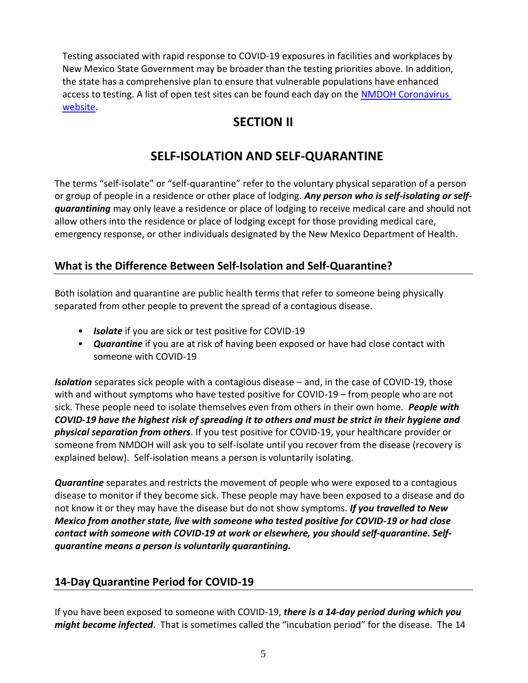Testing associated with rapid response to COVID-19 exposures in facilities and workplaces by New Mexico State Government may be broader than the testing priorities above. In addition, the state has a comprehensive plan to ensure that vulnerable populations have enhanced access to testing. A list of open test sites can be found each day on the NMDOH Coronavirus [website.](https://cvprovider.nmhealth.org/directory.html)

# **SECTION II**

# **SELF-ISOLATION AND SELF-QUARANTINE**

The terms "self-isolate" or "self-quarantine" refer to the voluntary physical separation of a person or group of people in a residence or other place of lodging. *Any person who is self-isolating or selfquarantining* may only leave a residence or place of lodging to receive medical care and should not allow others into the residence or place of lodging except for those providing medical care, emergency response, or other individuals designated by the New Mexico Department of Health.

### **What is the Difference Between Self-Isolation and Self-Quarantine?**

Both isolation and quarantine are public health terms that refer to someone being physically separated from other people to prevent the spread of a contagious disease.

- *Isolate* if you are sick or test positive for COVID-19
- **Quarantine** if you are at risk of having been exposed or have had close contact with someone with COVID-19

*Isolation* separates sick people with a contagious disease – and, in the case of COVID-19, those with and without symptoms who have tested positive for COVID-19 – from people who are not sick. These people need to isolate themselves even from others in their own home. *People with COVID-19 have the highest risk of spreading it to others and must be strict in their hygiene and physical separation from others*. If you test positive for COVID-19, your healthcare provider or someone from NMDOH will ask you to self-isolate until you recover from the disease (recovery is explained below). Self-isolation means a person is voluntarily isolating.

*Quarantine* separates and restricts the movement of people who were exposed to a contagious disease to monitor if they become sick. These people may have been exposed to a disease and do not know it or they may have the disease but do not show symptoms. *If you travelled to New Mexico from another state, live with someone who tested positive for COVID-19 or had close contact with someone with COVID-19 at work or elsewhere, you should self-quarantine. Selfquarantine means a person is voluntarily quarantining.*

### **14-Day Quarantine Period for COVID-19**

If you have been exposed to someone with COVID-19, *there is a 14-day period during which you might become infected*. That is sometimes called the "incubation period" for the disease. The 14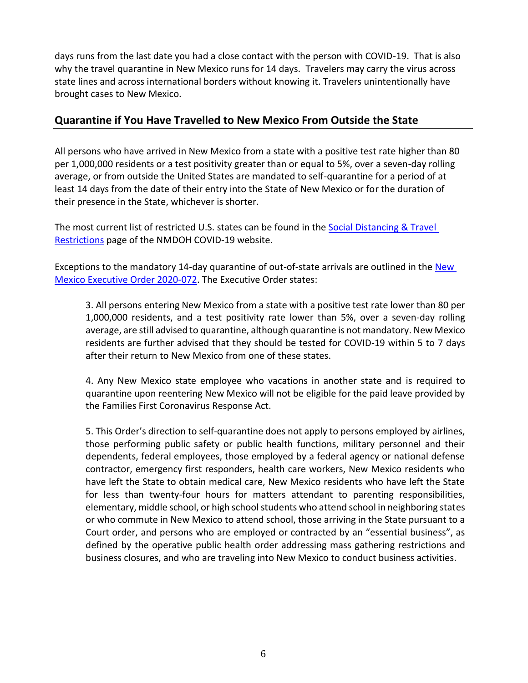days runs from the last date you had a close contact with the person with COVID-19. That is also why the travel quarantine in New Mexico runs for 14 days. Travelers may carry the virus across state lines and across international borders without knowing it. Travelers unintentionally have brought cases to New Mexico.

### **Quarantine if You Have Travelled to New Mexico From Outside the State**

All persons who have arrived in New Mexico from a state with a positive test rate higher than 80 per 1,000,000 residents or a test positivity greater than or equal to 5%, over a seven-day rolling average, or from outside the United States are mandated to self-quarantine for a period of at least 14 days from the date of their entry into the State of New Mexico or for the duration of their presence in the State, whichever is shorter.

The most current list of restricted U.S. states can be found in the **Social Distancing & Travel** [Restrictions](https://cv.nmhealth.org/travel-recommendations/) page of the NMDOH COVID-19 website.

Exceptions to the mandatory 14-day quarantine of out-of-state arrivals are outlined in the New [Mexico Executive Order 2020-072.](https://cv.nmhealth.org/wp-content/uploads/2020/10/Executive-Order-2020-072-1.pdf) The Executive Order states:

3. All persons entering New Mexico from a state with a positive test rate lower than 80 per 1,000,000 residents, and a test positivity rate lower than 5%, over a seven-day rolling average, are still advised to quarantine, although quarantine is not mandatory. New Mexico residents are further advised that they should be tested for COVID-19 within 5 to 7 days after their return to New Mexico from one of these states.

4. Any New Mexico state employee who vacations in another state and is required to quarantine upon reentering New Mexico will not be eligible for the paid leave provided by the Families First Coronavirus Response Act.

5. This Order's direction to self-quarantine does not apply to persons employed by airlines, those performing public safety or public health functions, military personnel and their dependents, federal employees, those employed by a federal agency or national defense contractor, emergency first responders, health care workers, New Mexico residents who have left the State to obtain medical care, New Mexico residents who have left the State for less than twenty-four hours for matters attendant to parenting responsibilities, elementary, middle school, or high school students who attend school in neighboring states or who commute in New Mexico to attend school, those arriving in the State pursuant to a Court order, and persons who are employed or contracted by an "essential business", as defined by the operative public health order addressing mass gathering restrictions and business closures, and who are traveling into New Mexico to conduct business activities.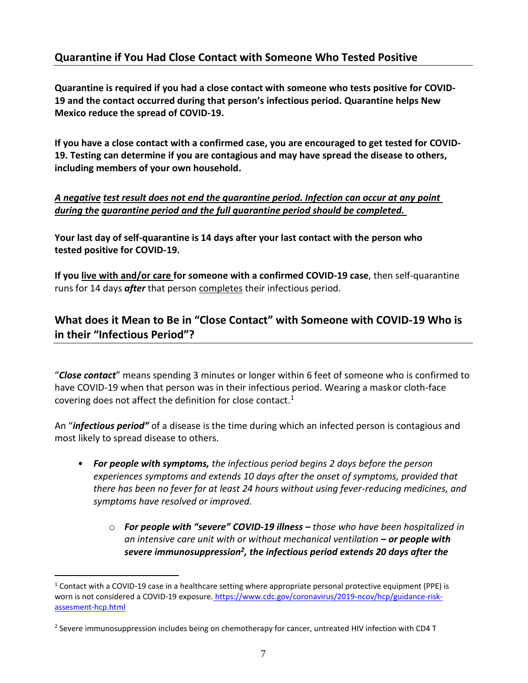### **Quarantine if You Had Close Contact with Someone Who Tested Positive**

**Quarantine is required if you had a close contact with someone who tests positive for COVID-19 and the contact occurred during that person's infectious period. Quarantine helps New Mexico reduce the spread of COVID-19.**

**If you have a close contact with a confirmed case, you are encouraged to get tested for COVID-19. Testing can determine if you are contagious and may have spread the disease to others, including members of your own household.** 

#### *A negative test result does not end the quarantine period. Infection can occur at any point during the quarantine period and the full quarantine period should be completed.*

**Your last day of self-quarantine is 14 days after your last contact with the person who tested positive for COVID-19.** 

**If you live with and/or care for someone with a confirmed COVID-19 case**, then self-quarantine runs for 14 days *after* that person completes their infectious period.

### **What does it Mean to Be in "Close Contact" with Someone with COVID-19 Who is in their "Infectious Period"?**

"*Close contact*" means spending 3 minutes or longer within 6 feet of someone who is confirmed to have COVID-19 when that person was in their infectious period. Wearing a maskor cloth-face covering does not affect the definition for close contact.<sup>1</sup>

An "*infectious period"* of a disease is the time during which an infected person is contagious and most likely to spread disease to others.

- *For people with symptoms, the infectious period begins 2 days before the person experiences symptoms and extends 10 days after the onset of symptoms, provided that there has been no fever for at least 24 hours without using fever-reducing medicines, and symptoms have resolved or improved.* 
	- o *For people with "severe" COVID-19 illness – those who have been hospitalized in an intensive care unit with or without mechanical ventilation – or people with severe immunosuppression<sup>2</sup> , the infectious period extends 20 days after the*

 $\overline{a}$ 

 $1$  Contact with a COVID-19 case in a healthcare setting where appropriate personal protective equipment (PPE) is worn is not considered a COVID-19 exposure. [https://www.cdc.gov/coronavirus/2019-ncov/hcp/guidance-risk](https://www.cdc.gov/coronavirus/2019-ncov/hcp/guidance-risk-assesment-hcp.html)[assesment-hcp.html](https://www.cdc.gov/coronavirus/2019-ncov/hcp/guidance-risk-assesment-hcp.html)

<sup>&</sup>lt;sup>2</sup> Severe immunosuppression includes being on chemotherapy for cancer, untreated HIV infection with CD4 T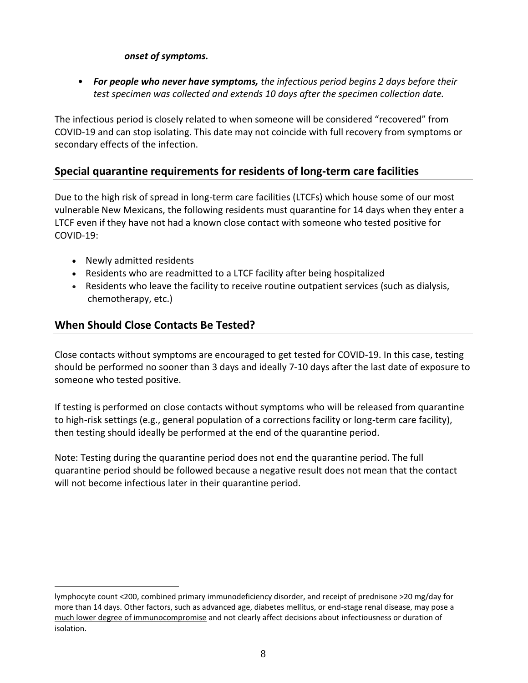#### *onset of symptoms.*

• *For people who never have symptoms, the infectious period begins 2 days before their test specimen was collected and extends 10 days after the specimen collection date.* 

The infectious period is closely related to when someone will be considered "recovered" from COVID-19 and can stop isolating. This date may not coincide with full recovery from symptoms or secondary effects of the infection.

### **Special quarantine requirements for residents of long-term care facilities**

Due to the high risk of spread in long-term care facilities (LTCFs) which house some of our most vulnerable New Mexicans, the following residents must quarantine for 14 days when they enter a LTCF even if they have not had a known close contact with someone who tested positive for COVID-19:

• Newly admitted residents

 $\overline{a}$ 

- Residents who are readmitted to a LTCF facility after being hospitalized
- Residents who leave the facility to receive routine outpatient services (such as dialysis, chemotherapy, etc.)

### **When Should Close Contacts Be Tested?**

Close contacts without symptoms are encouraged to get tested for COVID-19. In this case, testing should be performed no sooner than 3 days and ideally 7-10 days after the last date of exposure to someone who tested positive.

If testing is performed on close contacts without symptoms who will be released from quarantine to high-risk settings (e.g., general population of a corrections facility or long-term care facility), then testing should ideally be performed at the end of the quarantine period.

Note: Testing during the quarantine period does not end the quarantine period. The full quarantine period should be followed because a negative result does not mean that the contact will not become infectious later in their quarantine period.

lymphocyte count <200, combined primary immunodeficiency disorder, and receipt of prednisone >20 mg/day for more than 14 days. Other factors, such as advanced age, diabetes mellitus, or end-stage renal disease, may pose a much lower degree of immunocompromise and not clearly affect decisions about infectiousness or duration of isolation.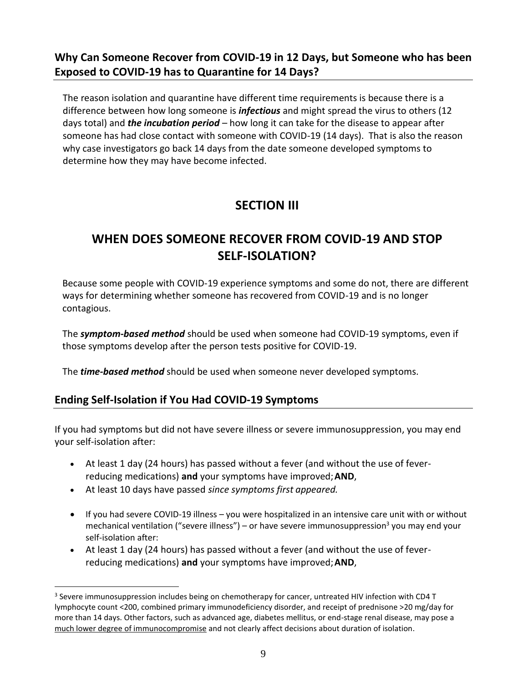### **Why Can Someone Recover from COVID-19 in 12 Days, but Someone who has been Exposed to COVID-19 has to Quarantine for 14 Days?**

The reason isolation and quarantine have different time requirements is because there is a difference between how long someone is *infectious* and might spread the virus to others (12 days total) and *the incubation period* – how long it can take for the disease to appear after someone has had close contact with someone with COVID-19 (14 days). That is also the reason why case investigators go back 14 days from the date someone developed symptoms to determine how they may have become infected.

# **SECTION III**

# **WHEN DOES SOMEONE RECOVER FROM COVID-19 AND STOP SELF-ISOLATION?**

Because some people with COVID-19 experience symptoms and some do not, there are different ways for determining whether someone has recovered from COVID-19 and is no longer contagious.

The *symptom-based method* should be used when someone had COVID-19 symptoms, even if those symptoms develop after the person tests positive for COVID-19.

The *time-based method* should be used when someone never developed symptoms.

### **Ending Self-Isolation if You Had COVID-19 Symptoms**

If you had symptoms but did not have severe illness or severe immunosuppression, you may end your self-isolation after:

- At least 1 day (24 hours) has passed without a fever (and without the use of feverreducing medications) **and** your symptoms have improved;**AND**,
- At least 10 days have passed *since symptoms first appeared.*

 $\overline{a}$ 

- If you had severe COVID-19 illness you were hospitalized in an intensive care unit with or without mechanical ventilation ("severe illness") – or have severe immunosuppression<sup>3</sup> you may end your self-isolation after:
- At least 1 day (24 hours) has passed without a fever (and without the use of feverreducing medications) **and** your symptoms have improved;**AND**,

<sup>&</sup>lt;sup>3</sup> Severe immunosuppression includes being on chemotherapy for cancer, untreated HIV infection with CD4 T lymphocyte count <200, combined primary immunodeficiency disorder, and receipt of prednisone >20 mg/day for more than 14 days. Other factors, such as advanced age, diabetes mellitus, or end-stage renal disease, may pose a much lower degree of immunocompromise and not clearly affect decisions about duration of isolation.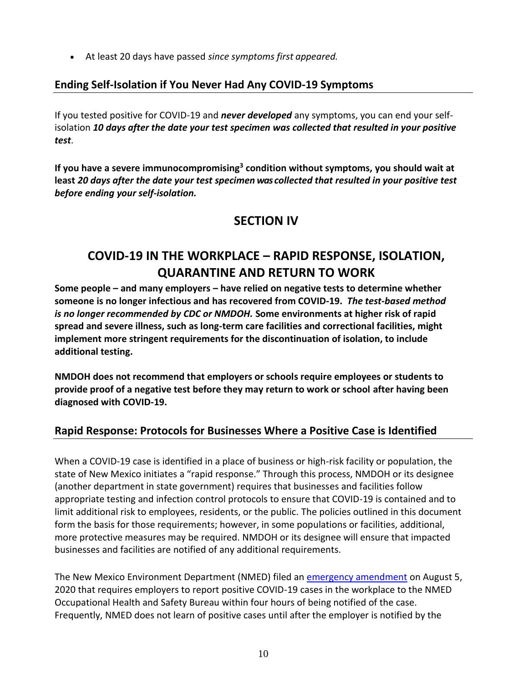• At least 20 days have passed *since symptoms first appeared.*

### **Ending Self-Isolation if You Never Had Any COVID-19 Symptoms**

If you tested positive for COVID-19 and *never developed* any symptoms, you can end your selfisolation *10 days after the date your test specimen was collected that resulted in your positive test*.

**If you have a severe immunocompromising<sup>3</sup> condition without symptoms, you should wait at least** *20 days after the date your test specimen was collected that resulted in your positive test before ending your self-isolation.*

# **SECTION IV**

# **COVID-19 IN THE WORKPLACE – RAPID RESPONSE, ISOLATION, QUARANTINE AND RETURN TO WORK**

**Some people – and many employers – have relied on negative tests to determine whether someone is no longer infectious and has recovered from COVID-19.** *The test-based method is no longer recommended by CDC or NMDOH.* **Some environments at higher risk of rapid spread and severe illness, such as long-term care facilities and correctional facilities, might implement more stringent requirements for the discontinuation of isolation, to include additional testing.** 

**NMDOH does not recommend that employers or schools require employees or students to provide proof of a negative test before they may return to work or school after having been diagnosed with COVID-19.**

### **Rapid Response: Protocols for Businesses Where a Positive Case is Identified**

When a COVID-19 case is identified in a place of business or high-risk facility or population, the state of New Mexico initiates a "rapid response." Through this process, NMDOH or its designee (another department in state government) requires that businesses and facilities follow appropriate testing and infection control protocols to ensure that COVID-19 is contained and to limit additional risk to employees, residents, or the public. The policies outlined in this document form the basis for those requirements; however, in some populations or facilities, additional, more protective measures may be required. NMDOH or its designee will ensure that impacted businesses and facilities are notified of any additional requirements.

The New Mexico Environment Department (NMED) filed an [emergency amendment](https://www.env.nm.gov/wp-content/uploads/2020/03/Emergency-Amendment-to-11.5.1.16-final.pdf) on August 5, 2020 that requires employers to report positive COVID-19 cases in the workplace to the NMED Occupational Health and Safety Bureau within four hours of being notified of the case. Frequently, NMED does not learn of positive cases until after the employer is notified by the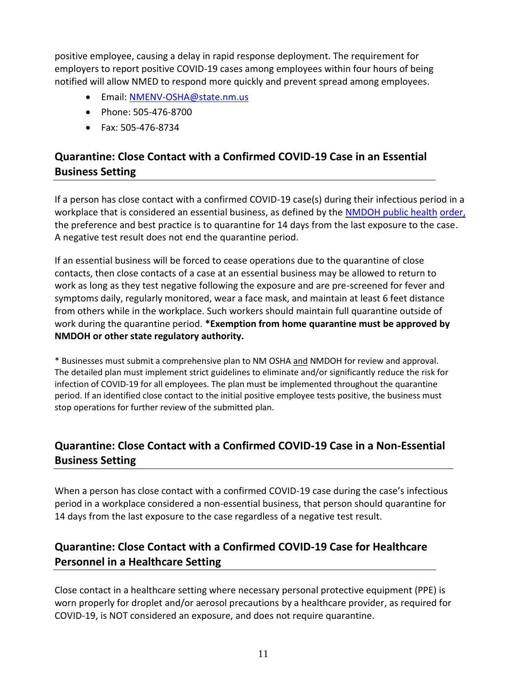positive employee, causing a delay in rapid response deployment. The requirement for employers to report positive COVID-19 cases among employees within four hours of being notified will allow NMED to respond more quickly and prevent spread among employees.

- Email: [NMENV-OSHA@state.nm.us](mailto:NMENV-OSHA@state.nm.us)
- Phone: 505-476-8700
- Fax: 505-476-8734

### **Quarantine: Close Contact with a Confirmed COVID-19 Case in an Essential Business Setting**

If a person has close contact with a confirmed COVID-19 case(s) during their infectious period in a workplace that is considered an essential business, as defined by the [NMDOH public health](https://cv.nmhealth.org/wp-content/uploads/2020/07/7.13.20-PHO-1.pdf) [order,](https://cv.nmhealth.org/wp-content/uploads/2020/07/7.13.20-PHO-1.pdf) the preference and best practice is to quarantine for 14 days from the last exposure to the case. A negative test result does not end the quarantine period.

If an essential business will be forced to cease operations due to the quarantine of close contacts, then close contacts of a case at an essential business may be allowed to return to work as long as they test negative following the exposure and are pre-screened for fever and symptoms daily, regularly monitored, wear a face mask, and maintain at least 6 feet distance from others while in the workplace. Such workers should maintain full quarantine outside of work during the quarantine period. **\*Exemption from home quarantine must be approved by NMDOH or other state regulatory authority.**

\* Businesses must submit a comprehensive plan to NM OSHA and NMDOH for review and approval. The detailed plan must implement strict guidelines to eliminate and/or significantly reduce the risk for infection of COVID-19 for all employees. The plan must be implemented throughout the quarantine period. If an identified close contact to the initial positive employee tests positive, the business must stop operations for further review of the submitted plan.

### **Quarantine: Close Contact with a Confirmed COVID-19 Case in a Non-Essential Business Setting**

When a person has close contact with a confirmed COVID-19 case during the case's infectious period in a workplace considered a non-essential business, that person should quarantine for 14 days from the last exposure to the case regardless of a negative test result.

### **Quarantine: Close Contact with a Confirmed COVID-19 Case for Healthcare Personnel in a Healthcare Setting**

Close contact in a healthcare setting where necessary personal protective equipment (PPE) is worn properly for droplet and/or aerosol precautions by a healthcare provider, as required for COVID-19, is NOT considered an exposure, and does not require quarantine.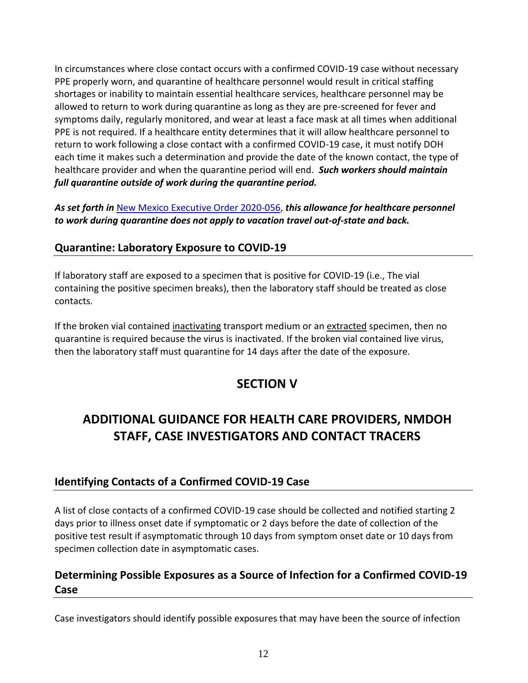In circumstances where close contact occurs with a confirmed COVID-19 case without necessary PPE properly worn, and quarantine of healthcare personnel would result in critical staffing shortages or inability to maintain essential healthcare services, healthcare personnel may be allowed to return to work during quarantine as long as they are pre-screened for fever and symptoms daily, regularly monitored, and wear at least a face mask at all times when additional PPE is not required. If a healthcare entity determines that it will allow healthcare personnel to return to work following a close contact with a confirmed COVID-19 case, it must notify DOH each time it makes such a determination and provide the date of the known contact, the type of healthcare provider and when the quarantine period will end. *Such workers should maintain full quarantine outside of work during the quarantine period.*

*As set forth in* [New Mexico Executive Order 2020-056,](https://cv.nmhealth.org/wp-content/uploads/2020/08/Executive-Order-2020-056.pdf) *this allowance for healthcare personnel to work during quarantine does not apply to vacation travel out-of-state and back.*

### **Quarantine: Laboratory Exposure to COVID-19**

If laboratory staff are exposed to a specimen that is positive for COVID-19 (i.e., The vial containing the positive specimen breaks), then the laboratory staff should be treated as close contacts.

If the broken vial contained inactivating transport medium or an extracted specimen, then no quarantine is required because the virus is inactivated. If the broken vial contained live virus, then the laboratory staff must quarantine for 14 days after the date of the exposure.

# **SECTION V**

# **ADDITIONAL GUIDANCE FOR HEALTH CARE PROVIDERS, NMDOH STAFF, CASE INVESTIGATORS AND CONTACT TRACERS**

### **Identifying Contacts of a Confirmed COVID-19 Case**

A list of close contacts of a confirmed COVID-19 case should be collected and notified starting 2 days prior to illness onset date if symptomatic or 2 days before the date of collection of the positive test result if asymptomatic through 10 days from symptom onset date or 10 days from specimen collection date in asymptomatic cases.

### **Determining Possible Exposures as a Source of Infection for a Confirmed COVID-19 Case**

Case investigators should identify possible exposures that may have been the source of infection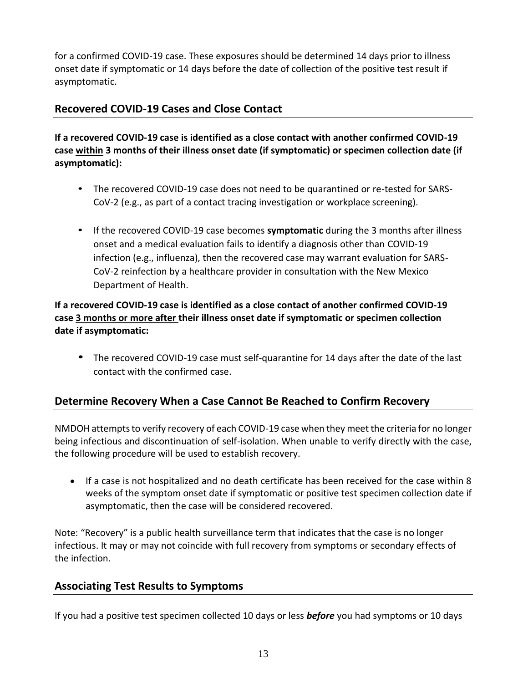for a confirmed COVID-19 case. These exposures should be determined 14 days prior to illness onset date if symptomatic or 14 days before the date of collection of the positive test result if asymptomatic.

### **Recovered COVID-19 Cases and Close Contact**

**If a recovered COVID-19 case is identified as a close contact with another confirmed COVID-19 case within 3 months of their illness onset date (if symptomatic) or specimen collection date (if asymptomatic):**

- The recovered COVID-19 case does not need to be quarantined or re-tested for SARS-CoV-2 (e.g., as part of a contact tracing investigation or workplace screening).
- If the recovered COVID-19 case becomes **symptomatic** during the 3 months after illness onset and a medical evaluation fails to identify a diagnosis other than COVID-19 infection (e.g., influenza), then the recovered case may warrant evaluation for SARS-CoV-2 reinfection by a healthcare provider in consultation with the New Mexico Department of Health.

### **If a recovered COVID-19 case is identified as a close contact of another confirmed COVID-19 case 3 months or more after their illness onset date if symptomatic or specimen collection date if asymptomatic:**

• The recovered COVID-19 case must self-quarantine for 14 days after the date of the last contact with the confirmed case.

### **Determine Recovery When a Case Cannot Be Reached to Confirm Recovery**

NMDOH attempts to verify recovery of each COVID-19 case when they meet the criteria for no longer being infectious and discontinuation of self-isolation. When unable to verify directly with the case, the following procedure will be used to establish recovery.

• If a case is not hospitalized and no death certificate has been received for the case within 8 weeks of the symptom onset date if symptomatic or positive test specimen collection date if asymptomatic, then the case will be considered recovered.

Note: "Recovery" is a public health surveillance term that indicates that the case is no longer infectious. It may or may not coincide with full recovery from symptoms or secondary effects of the infection.

### **Associating Test Results to Symptoms**

If you had a positive test specimen collected 10 days or less *before* you had symptoms or 10 days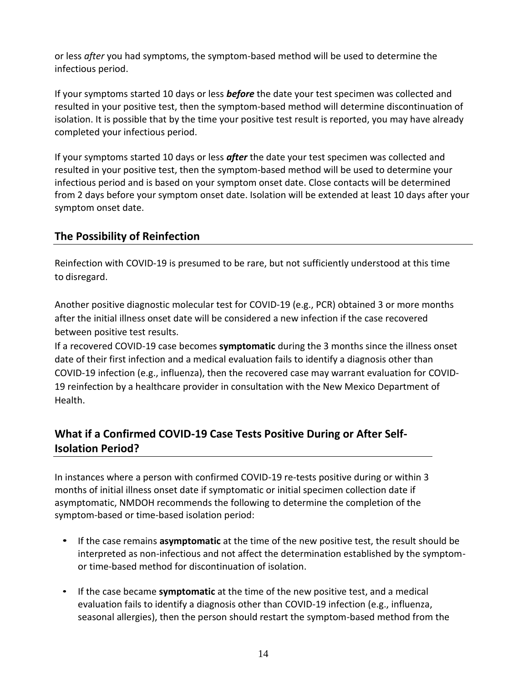or less *after* you had symptoms, the symptom-based method will be used to determine the infectious period.

If your symptoms started 10 days or less *before* the date your test specimen was collected and resulted in your positive test, then the symptom-based method will determine discontinuation of isolation. It is possible that by the time your positive test result is reported, you may have already completed your infectious period.

If your symptoms started 10 days or less *after* the date your test specimen was collected and resulted in your positive test, then the symptom-based method will be used to determine your infectious period and is based on your symptom onset date. Close contacts will be determined from 2 days before your symptom onset date. Isolation will be extended at least 10 days after your symptom onset date.

### **The Possibility of Reinfection**

Reinfection with COVID-19 is presumed to be rare, but not sufficiently understood at this time to disregard.

Another positive diagnostic molecular test for COVID-19 (e.g., PCR) obtained 3 or more months after the initial illness onset date will be considered a new infection if the case recovered between positive test results.

If a recovered COVID-19 case becomes **symptomatic** during the 3 months since the illness onset date of their first infection and a medical evaluation fails to identify a diagnosis other than COVID-19 infection (e.g., influenza), then the recovered case may warrant evaluation for COVID-19 reinfection by a healthcare provider in consultation with the New Mexico Department of Health.

### **What if a Confirmed COVID-19 Case Tests Positive During or After Self-Isolation Period?**

In instances where a person with confirmed COVID-19 re-tests positive during or within 3 months of initial illness onset date if symptomatic or initial specimen collection date if asymptomatic, NMDOH recommends the following to determine the completion of the symptom-based or time-based isolation period:

- If the case remains **asymptomatic** at the time of the new positive test, the result should be interpreted as non-infectious and not affect the determination established by the symptomor time-based method for discontinuation of isolation.
- If the case became **symptomatic** at the time of the new positive test, and a medical evaluation fails to identify a diagnosis other than COVID-19 infection (e.g., influenza, seasonal allergies), then the person should restart the symptom-based method from the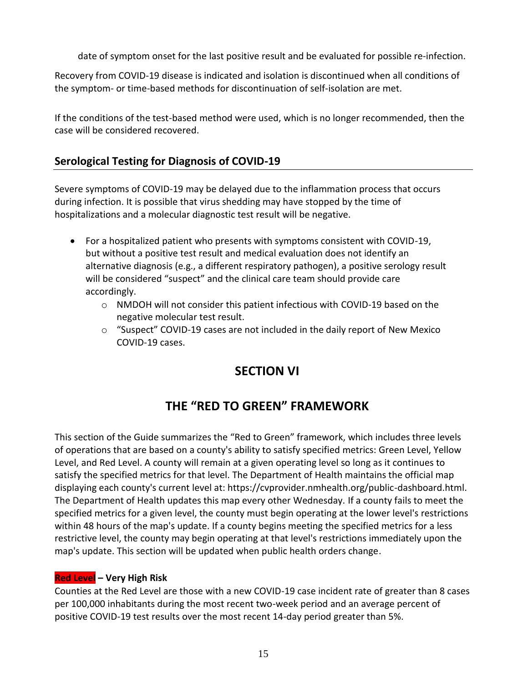date of symptom onset for the last positive result and be evaluated for possible re-infection.

Recovery from COVID-19 disease is indicated and isolation is discontinued when all conditions of the symptom- or time-based methods for discontinuation of self-isolation are met.

If the conditions of the test-based method were used, which is no longer recommended, then the case will be considered recovered.

### **Serological Testing for Diagnosis of COVID-19**

Severe symptoms of COVID-19 may be delayed due to the inflammation process that occurs during infection. It is possible that virus shedding may have stopped by the time of hospitalizations and a molecular diagnostic test result will be negative.

- For a hospitalized patient who presents with symptoms consistent with COVID-19, but without a positive test result and medical evaluation does not identify an alternative diagnosis (e.g., a different respiratory pathogen), a positive serology result will be considered "suspect" and the clinical care team should provide care accordingly.
	- o NMDOH will not consider this patient infectious with COVID-19 based on the negative molecular test result.
	- $\circ$  "Suspect" COVID-19 cases are not included in the daily report of New Mexico COVID-19 cases.

# **SECTION VI**

# **THE "RED TO GREEN" FRAMEWORK**

This section of the Guide summarizes the "Red to Green" framework, which includes three levels of operations that are based on a county's ability to satisfy specified metrics: Green Level, Yellow Level, and Red Level. A county will remain at a given operating level so long as it continues to satisfy the specified metrics for that level. The Department of Health maintains the official map displaying each county's current level at: https://cvprovider.nmhealth.org/public-dashboard.html. The Department of Health updates this map every other Wednesday. If a county fails to meet the specified metrics for a given level, the county must begin operating at the lower level's restrictions within 48 hours of the map's update. If a county begins meeting the specified metrics for a less restrictive level, the county may begin operating at that level's restrictions immediately upon the map's update. This section will be updated when public health orders change.

### **Red Level – Very High Risk**

Counties at the Red Level are those with a new COVID-19 case incident rate of greater than 8 cases per 100,000 inhabitants during the most recent two-week period and an average percent of positive COVID-19 test results over the most recent 14-day period greater than 5%.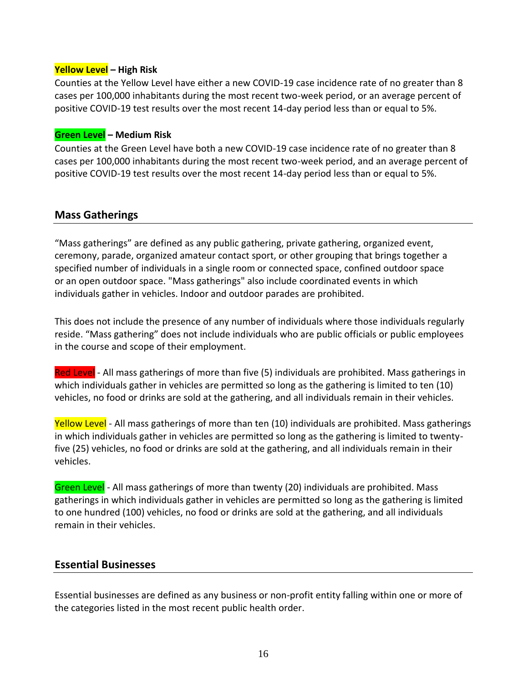#### **Yellow Level – High Risk**

Counties at the Yellow Level have either a new COVID-19 case incidence rate of no greater than 8 cases per 100,000 inhabitants during the most recent two-week period, or an average percent of positive COVID-19 test results over the most recent 14-day period less than or equal to 5%.

#### **Green Level – Medium Risk**

Counties at the Green Level have both a new COVID-19 case incidence rate of no greater than 8 cases per 100,000 inhabitants during the most recent two-week period, and an average percent of positive COVID-19 test results over the most recent 14-day period less than or equal to 5%.

#### **Mass Gatherings**

"Mass gatherings" are defined as any public gathering, private gathering, organized event, ceremony, parade, organized amateur contact sport, or other grouping that brings together a specified number of individuals in a single room or connected space, confined outdoor space or an open outdoor space. "Mass gatherings" also include coordinated events in which individuals gather in vehicles. Indoor and outdoor parades are prohibited.

This does not include the presence of any number of individuals where those individuals regularly reside. "Mass gathering" does not include individuals who are public officials or public employees in the course and scope of their employment.

Red Level - All mass gatherings of more than five (5) individuals are prohibited. Mass gatherings in which individuals gather in vehicles are permitted so long as the gathering is limited to ten (10) vehicles, no food or drinks are sold at the gathering, and all individuals remain in their vehicles.

Yellow Level - All mass gatherings of more than ten (10) individuals are prohibited. Mass gatherings in which individuals gather in vehicles are permitted so long as the gathering is limited to twentyfive (25) vehicles, no food or drinks are sold at the gathering, and all individuals remain in their vehicles.

Green Level - All mass gatherings of more than twenty (20) individuals are prohibited. Mass gatherings in which individuals gather in vehicles are permitted so long as the gathering is limited to one hundred (100) vehicles, no food or drinks are sold at the gathering, and all individuals remain in their vehicles.

#### **Essential Businesses**

Essential businesses are defined as any business or non-profit entity falling within one or more of the categories listed in the most recent public health order.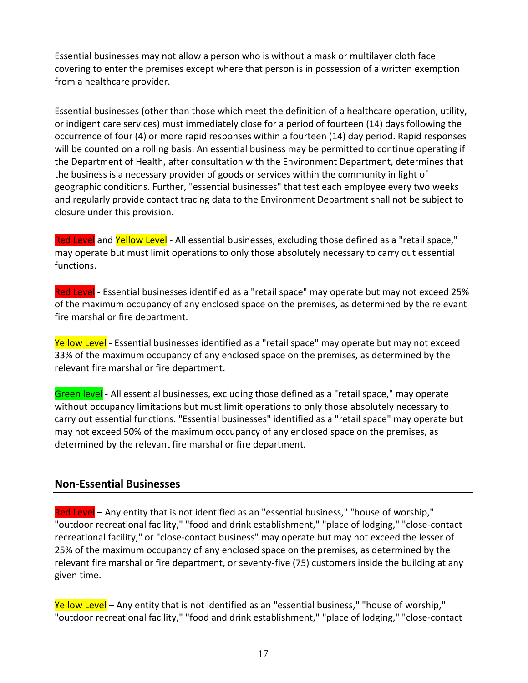Essential businesses may not allow a person who is without a mask or multilayer cloth face covering to enter the premises except where that person is in possession of a written exemption from a healthcare provider.

Essential businesses (other than those which meet the definition of a healthcare operation, utility, or indigent care services) must immediately close for a period of fourteen (14) days following the occurrence of four (4) or more rapid responses within a fourteen (14) day period. Rapid responses will be counted on a rolling basis. An essential business may be permitted to continue operating if the Department of Health, after consultation with the Environment Department, determines that the business is a necessary provider of goods or services within the community in light of geographic conditions. Further, "essential businesses" that test each employee every two weeks and regularly provide contact tracing data to the Environment Department shall not be subject to closure under this provision.

Red Level and Yellow Level - All essential businesses, excluding those defined as a "retail space," may operate but must limit operations to only those absolutely necessary to carry out essential functions.

Red Level - Essential businesses identified as a "retail space" may operate but may not exceed 25% of the maximum occupancy of any enclosed space on the premises, as determined by the relevant fire marshal or fire department.

Yellow Level - Essential businesses identified as a "retail space" may operate but may not exceed 33% of the maximum occupancy of any enclosed space on the premises, as determined by the relevant fire marshal or fire department.

Green level - All essential businesses, excluding those defined as a "retail space," may operate without occupancy limitations but must limit operations to only those absolutely necessary to carry out essential functions. "Essential businesses" identified as a "retail space" may operate but may not exceed 50% of the maximum occupancy of any enclosed space on the premises, as determined by the relevant fire marshal or fire department.

### **Non-Essential Businesses**

Red Level – Any entity that is not identified as an "essential business," "house of worship," "outdoor recreational facility," "food and drink establishment," "place of lodging," "close-contact recreational facility," or "close-contact business" may operate but may not exceed the lesser of 25% of the maximum occupancy of any enclosed space on the premises, as determined by the relevant fire marshal or fire department, or seventy-five (75) customers inside the building at any given time.

Yellow Level – Any entity that is not identified as an "essential business," "house of worship," "outdoor recreational facility," "food and drink establishment," "place of lodging," "close-contact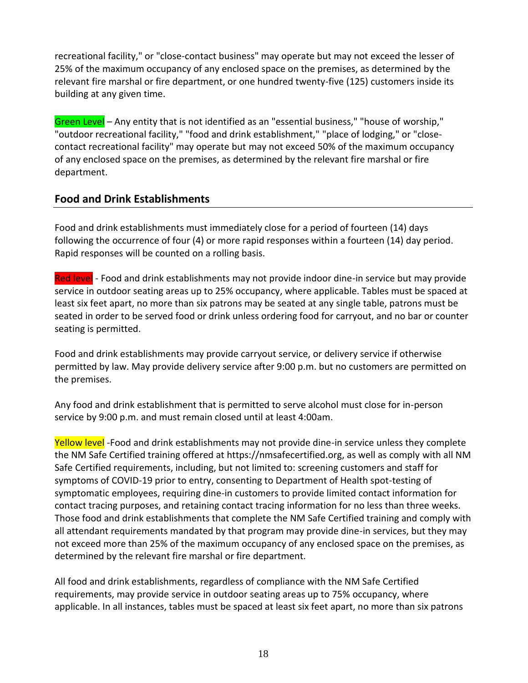recreational facility," or "close-contact business" may operate but may not exceed the lesser of 25% of the maximum occupancy of any enclosed space on the premises, as determined by the relevant fire marshal or fire department, or one hundred twenty-five (125) customers inside its building at any given time.

Green Level – Any entity that is not identified as an "essential business," "house of worship," "outdoor recreational facility," "food and drink establishment," "place of lodging," or "closecontact recreational facility" may operate but may not exceed 50% of the maximum occupancy of any enclosed space on the premises, as determined by the relevant fire marshal or fire department.

### **Food and Drink Establishments**

Food and drink establishments must immediately close for a period of fourteen (14) days following the occurrence of four (4) or more rapid responses within a fourteen (14) day period. Rapid responses will be counted on a rolling basis.

Red level - Food and drink establishments may not provide indoor dine-in service but may provide service in outdoor seating areas up to 25% occupancy, where applicable. Tables must be spaced at least six feet apart, no more than six patrons may be seated at any single table, patrons must be seated in order to be served food or drink unless ordering food for carryout, and no bar or counter seating is permitted.

Food and drink establishments may provide carryout service, or delivery service if otherwise permitted by law. May provide delivery service after 9:00 p.m. but no customers are permitted on the premises.

Any food and drink establishment that is permitted to serve alcohol must close for in-person service by 9:00 p.m. and must remain closed until at least 4:00am.

Yellow level -Food and drink establishments may not provide dine-in service unless they complete the NM Safe Certified training offered at https://nmsafecertified.org, as well as comply with all NM Safe Certified requirements, including, but not limited to: screening customers and staff for symptoms of COVID-19 prior to entry, consenting to Department of Health spot-testing of symptomatic employees, requiring dine-in customers to provide limited contact information for contact tracing purposes, and retaining contact tracing information for no less than three weeks. Those food and drink establishments that complete the NM Safe Certified training and comply with all attendant requirements mandated by that program may provide dine-in services, but they may not exceed more than 25% of the maximum occupancy of any enclosed space on the premises, as determined by the relevant fire marshal or fire department.

All food and drink establishments, regardless of compliance with the NM Safe Certified requirements, may provide service in outdoor seating areas up to 75% occupancy, where applicable. In all instances, tables must be spaced at least six feet apart, no more than six patrons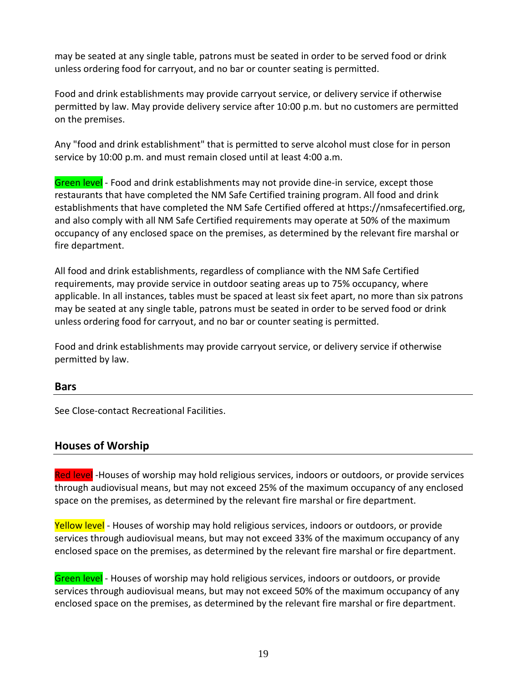may be seated at any single table, patrons must be seated in order to be served food or drink unless ordering food for carryout, and no bar or counter seating is permitted.

Food and drink establishments may provide carryout service, or delivery service if otherwise permitted by law. May provide delivery service after 10:00 p.m. but no customers are permitted on the premises.

Any "food and drink establishment" that is permitted to serve alcohol must close for in person service by 10:00 p.m. and must remain closed until at least 4:00 a.m.

Green level - Food and drink establishments may not provide dine-in service, except those restaurants that have completed the NM Safe Certified training program. All food and drink establishments that have completed the NM Safe Certified offered at https://nmsafecertified.org, and also comply with all NM Safe Certified requirements may operate at 50% of the maximum occupancy of any enclosed space on the premises, as determined by the relevant fire marshal or fire department.

All food and drink establishments, regardless of compliance with the NM Safe Certified requirements, may provide service in outdoor seating areas up to 75% occupancy, where applicable. In all instances, tables must be spaced at least six feet apart, no more than six patrons may be seated at any single table, patrons must be seated in order to be served food or drink unless ordering food for carryout, and no bar or counter seating is permitted.

Food and drink establishments may provide carryout service, or delivery service if otherwise permitted by law.

#### **Bars**

See Close-contact Recreational Facilities.

#### **Houses of Worship**

Red level -Houses of worship may hold religious services, indoors or outdoors, or provide services through audiovisual means, but may not exceed 25% of the maximum occupancy of any enclosed space on the premises, as determined by the relevant fire marshal or fire department.

Yellow level - Houses of worship may hold religious services, indoors or outdoors, or provide services through audiovisual means, but may not exceed 33% of the maximum occupancy of any enclosed space on the premises, as determined by the relevant fire marshal or fire department.

Green level - Houses of worship may hold religious services, indoors or outdoors, or provide services through audiovisual means, but may not exceed 50% of the maximum occupancy of any enclosed space on the premises, as determined by the relevant fire marshal or fire department.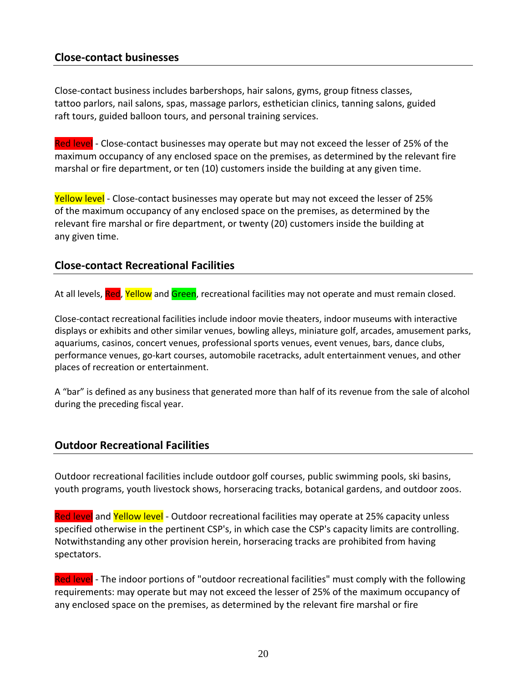### **Close-contact businesses**

Close-contact business includes barbershops, hair salons, gyms, group fitness classes, tattoo parlors, nail salons, spas, massage parlors, esthetician clinics, tanning salons, guided raft tours, guided balloon tours, and personal training services.

Red level - Close-contact businesses may operate but may not exceed the lesser of 25% of the maximum occupancy of any enclosed space on the premises, as determined by the relevant fire marshal or fire department, or ten (10) customers inside the building at any given time.

Yellow level - Close-contact businesses may operate but may not exceed the lesser of 25% of the maximum occupancy of any enclosed space on the premises, as determined by the relevant fire marshal or fire department, or twenty (20) customers inside the building at any given time.

#### **Close-contact Recreational Facilities**

At all levels, Red, Yellow and Green, recreational facilities may not operate and must remain closed.

Close-contact recreational facilities include indoor movie theaters, indoor museums with interactive displays or exhibits and other similar venues, bowling alleys, miniature golf, arcades, amusement parks, aquariums, casinos, concert venues, professional sports venues, event venues, bars, dance clubs, performance venues, go-kart courses, automobile racetracks, adult entertainment venues, and other places of recreation or entertainment.

A "bar" is defined as any business that generated more than half of its revenue from the sale of alcohol during the preceding fiscal year.

#### **Outdoor Recreational Facilities**

Outdoor recreational facilities include outdoor golf courses, public swimming pools, ski basins, youth programs, youth livestock shows, horseracing tracks, botanical gardens, and outdoor zoos.

Red level and Yellow level - Outdoor recreational facilities may operate at 25% capacity unless specified otherwise in the pertinent CSP's, in which case the CSP's capacity limits are controlling. Notwithstanding any other provision herein, horseracing tracks are prohibited from having spectators.

Red level - The indoor portions of "outdoor recreational facilities" must comply with the following requirements: may operate but may not exceed the lesser of 25% of the maximum occupancy of any enclosed space on the premises, as determined by the relevant fire marshal or fire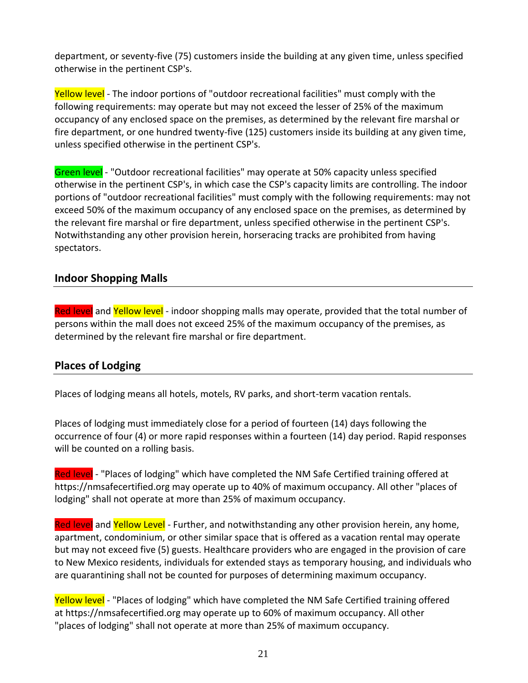department, or seventy-five (75) customers inside the building at any given time, unless specified otherwise in the pertinent CSP's.

Yellow level - The indoor portions of "outdoor recreational facilities" must comply with the following requirements: may operate but may not exceed the lesser of 25% of the maximum occupancy of any enclosed space on the premises, as determined by the relevant fire marshal or fire department, or one hundred twenty-five (125) customers inside its building at any given time, unless specified otherwise in the pertinent CSP's.

Green level - "Outdoor recreational facilities" may operate at 50% capacity unless specified otherwise in the pertinent CSP's, in which case the CSP's capacity limits are controlling. The indoor portions of "outdoor recreational facilities" must comply with the following requirements: may not exceed 50% of the maximum occupancy of any enclosed space on the premises, as determined by the relevant fire marshal or fire department, unless specified otherwise in the pertinent CSP's. Notwithstanding any other provision herein, horseracing tracks are prohibited from having spectators.

### **Indoor Shopping Malls**

Red level and Yellow level - indoor shopping malls may operate, provided that the total number of persons within the mall does not exceed 25% of the maximum occupancy of the premises, as determined by the relevant fire marshal or fire department.

### **Places of Lodging**

Places of lodging means all hotels, motels, RV parks, and short-term vacation rentals.

Places of lodging must immediately close for a period of fourteen (14) days following the occurrence of four (4) or more rapid responses within a fourteen (14) day period. Rapid responses will be counted on a rolling basis.

Red level - "Places of lodging" which have completed the NM Safe Certified training offered at https://nmsafecertified.org may operate up to 40% of maximum occupancy. All other "places of lodging" shall not operate at more than 25% of maximum occupancy.

Red level and Yellow Level - Further, and notwithstanding any other provision herein, any home, apartment, condominium, or other similar space that is offered as a vacation rental may operate but may not exceed five (5) guests. Healthcare providers who are engaged in the provision of care to New Mexico residents, individuals for extended stays as temporary housing, and individuals who are quarantining shall not be counted for purposes of determining maximum occupancy.

Yellow level - "Places of lodging" which have completed the NM Safe Certified training offered at https://nmsafecertified.org may operate up to 60% of maximum occupancy. All other "places of lodging" shall not operate at more than 25% of maximum occupancy.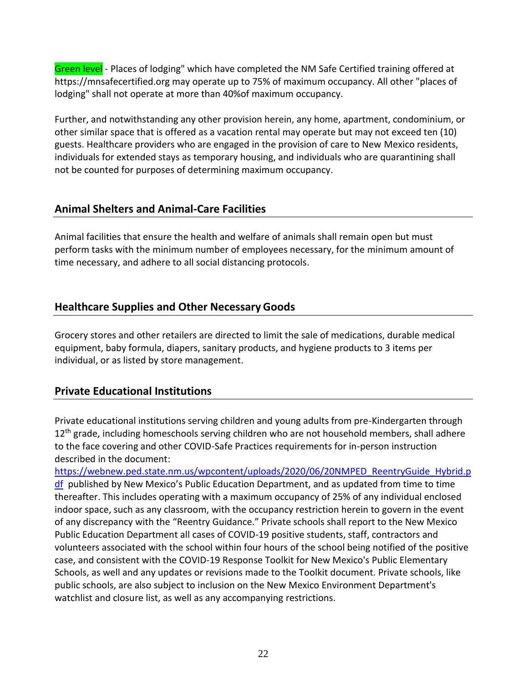Green level - Places of lodging" which have completed the NM Safe Certified training offered at https://mnsafecertified.org may operate up to 75% of maximum occupancy. All other "places of lodging" shall not operate at more than 40%of maximum occupancy.

Further, and notwithstanding any other provision herein, any home, apartment, condominium, or other similar space that is offered as a vacation rental may operate but may not exceed ten (10) guests. Healthcare providers who are engaged in the provision of care to New Mexico residents, individuals for extended stays as temporary housing, and individuals who are quarantining shall not be counted for purposes of determining maximum occupancy.

### **Animal Shelters and Animal-Care Facilities**

Animal facilities that ensure the health and welfare of animals shall remain open but must perform tasks with the minimum number of employees necessary, for the minimum amount of time necessary, and adhere to all social distancing protocols.

### **Healthcare Supplies and Other Necessary Goods**

Grocery stores and other retailers are directed to limit the sale of medications, durable medical equipment, baby formula, diapers, sanitary products, and hygiene products to 3 items per individual, or as listed by store management.

### **Private Educational Institutions**

Private educational institutions serving children and young adults from pre-Kindergarten through 12<sup>th</sup> grade, including homeschools serving children who are not household members, shall adhere to the face covering and other COVID-Safe Practices requirements for in-person instruction described in the document:

[https://webnew.ped.state.nm.us/wpcontent/uploads/2020/06/20NMPED\\_ReentryGuide\\_Hybrid.p](https://webnew.ped.state.nm.us/wpcontent/uploads/2020/06/20NMPED_ReentryGuide_Hybrid.pdf) [df](https://webnew.ped.state.nm.us/wpcontent/uploads/2020/06/20NMPED_ReentryGuide_Hybrid.pdf) published by New Mexico's Public Education Department, and as updated from time to time thereafter. This includes operating with a maximum occupancy of 25% of any individual enclosed indoor space, such as any classroom, with the occupancy restriction herein to govern in the event of any discrepancy with the "Reentry Guidance." Private schools shall report to the New Mexico Public Education Department all cases of COVID-19 positive students, staff, contractors and volunteers associated with the school within four hours of the school being notified of the positive case, and consistent with the COVID-19 Response Toolkit for New Mexico's Public Elementary Schools, as well and any updates or revisions made to the Toolkit document. Private schools, like public schools, are also subject to inclusion on the New Mexico Environment Department's watchlist and closure list, as well as any accompanying restrictions.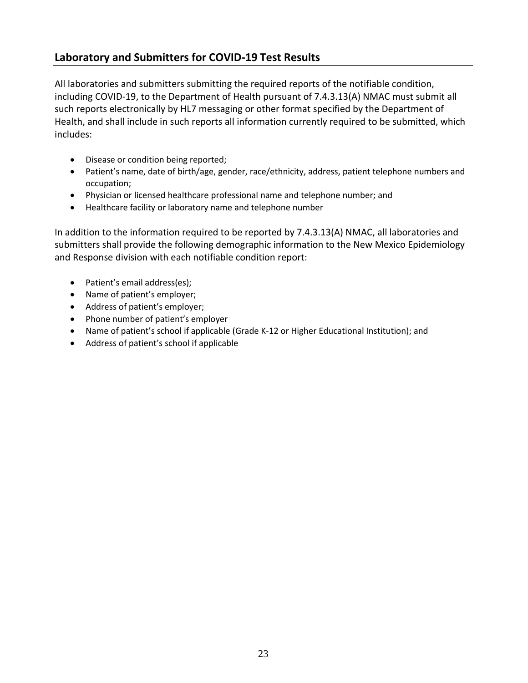### **Laboratory and Submitters for COVID-19 Test Results**

All laboratories and submitters submitting the required reports of the notifiable condition, including COVID-19, to the Department of Health pursuant of 7.4.3.13(A) NMAC must submit all such reports electronically by HL7 messaging or other format specified by the Department of Health, and shall include in such reports all information currently required to be submitted, which includes:

- Disease or condition being reported;
- Patient's name, date of birth/age, gender, race/ethnicity, address, patient telephone numbers and occupation;
- Physician or licensed healthcare professional name and telephone number; and
- Healthcare facility or laboratory name and telephone number

In addition to the information required to be reported by 7.4.3.13(A) NMAC, all laboratories and submitters shall provide the following demographic information to the New Mexico Epidemiology and Response division with each notifiable condition report:

- Patient's email address(es);
- Name of patient's employer;
- Address of patient's employer;
- Phone number of patient's employer
- Name of patient's school if applicable (Grade K-12 or Higher Educational Institution); and
- Address of patient's school if applicable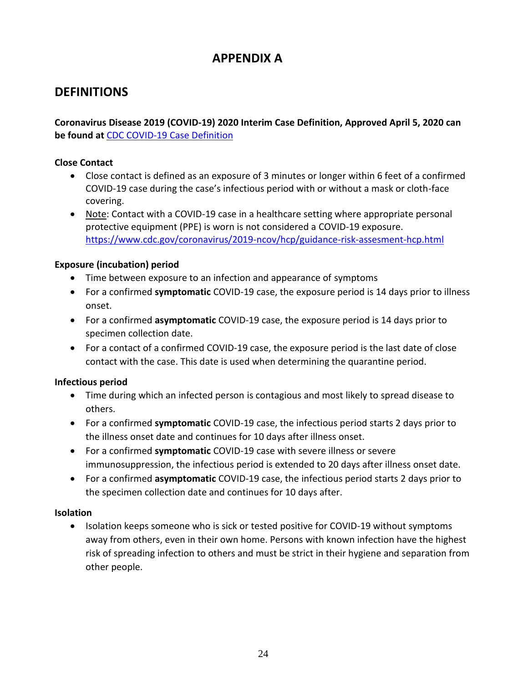# **APPENDIX A**

# **DEFINITIONS**

**Coronavirus Disease 2019 (COVID-19) 2020 Interim Case Definition, Approved April 5, 2020 can be found at** [CDC COVID-19 Case Definition](https://wwwn.cdc.gov/nndss/conditions/coronavirus-disease-2019-covid-19/case-definition/2020/)

#### **Close Contact**

- Close contact is defined as an exposure of 3 minutes or longer within 6 feet of a confirmed COVID-19 case during the case's infectious period with or without a mask or cloth-face covering.
- Note: Contact with a COVID-19 case in a healthcare setting where appropriate personal protective equipment (PPE) is worn is not considered a COVID-19 exposure. <https://www.cdc.gov/coronavirus/2019-ncov/hcp/guidance-risk-assesment-hcp.html>

#### **Exposure (incubation) period**

- Time between exposure to an infection and appearance of symptoms
- For a confirmed **symptomatic** COVID-19 case, the exposure period is 14 days prior to illness onset.
- For a confirmed **asymptomatic** COVID-19 case, the exposure period is 14 days prior to specimen collection date.
- For a contact of a confirmed COVID-19 case, the exposure period is the last date of close contact with the case. This date is used when determining the quarantine period.

#### **Infectious period**

- Time during which an infected person is contagious and most likely to spread disease to others.
- For a confirmed **symptomatic** COVID-19 case, the infectious period starts 2 days prior to the illness onset date and continues for 10 days after illness onset.
- For a confirmed **symptomatic** COVID-19 case with severe illness or severe immunosuppression, the infectious period is extended to 20 days after illness onset date.
- For a confirmed **asymptomatic** COVID-19 case, the infectious period starts 2 days prior to the specimen collection date and continues for 10 days after.

#### **Isolation**

• Isolation keeps someone who is sick or tested positive for COVID-19 without symptoms away from others, even in their own home. Persons with known infection have the highest risk of spreading infection to others and must be strict in their hygiene and separation from other people.